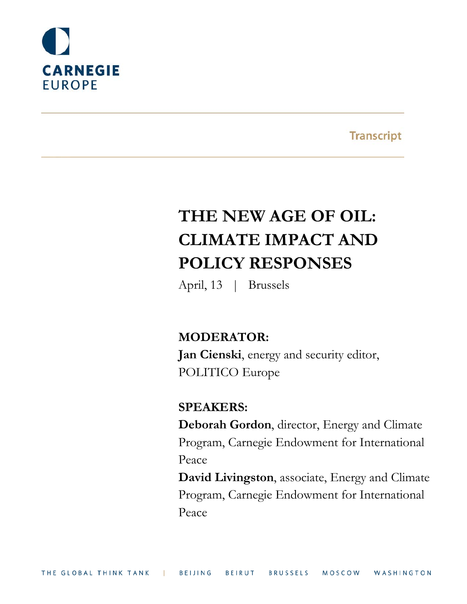

**Transcript** 

# **THE NEW AGE OF OIL: CLIMATE IMPACT AND POLICY RESPONSES**

April, 13 | Brussels

# **MODERATOR:**

**Jan Cienski**, energy and security editor, POLITICO Europe

# **SPEAKERS:**

**Deborah Gordon**, director, Energy and Climate Program, Carnegie Endowment for International Peace

**David Livingston**, associate, Energy and Climate Program, Carnegie Endowment for International Peace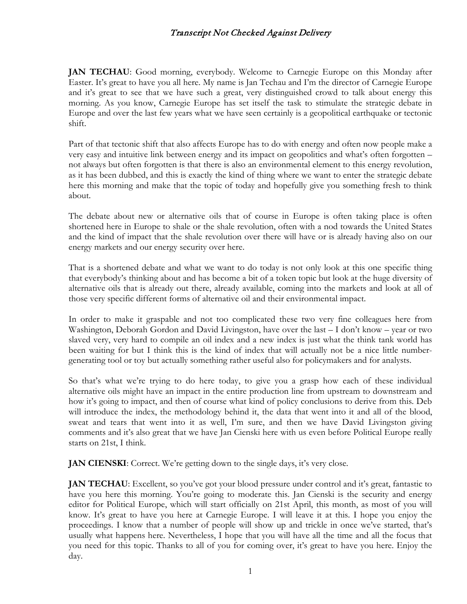**JAN TECHAU**: Good morning, everybody. Welcome to Carnegie Europe on this Monday after Easter. It's great to have you all here. My name is Jan Techau and I'm the director of Carnegie Europe and it's great to see that we have such a great, very distinguished crowd to talk about energy this morning. As you know, Carnegie Europe has set itself the task to stimulate the strategic debate in Europe and over the last few years what we have seen certainly is a geopolitical earthquake or tectonic shift.

Part of that tectonic shift that also affects Europe has to do with energy and often now people make a very easy and intuitive link between energy and its impact on geopolitics and what's often forgotten – not always but often forgotten is that there is also an environmental element to this energy revolution, as it has been dubbed, and this is exactly the kind of thing where we want to enter the strategic debate here this morning and make that the topic of today and hopefully give you something fresh to think about.

The debate about new or alternative oils that of course in Europe is often taking place is often shortened here in Europe to shale or the shale revolution, often with a nod towards the United States and the kind of impact that the shale revolution over there will have or is already having also on our energy markets and our energy security over here.

That is a shortened debate and what we want to do today is not only look at this one specific thing that everybody's thinking about and has become a bit of a token topic but look at the huge diversity of alternative oils that is already out there, already available, coming into the markets and look at all of those very specific different forms of alternative oil and their environmental impact.

In order to make it graspable and not too complicated these two very fine colleagues here from Washington, Deborah Gordon and David Livingston, have over the last – I don't know – year or two slaved very, very hard to compile an oil index and a new index is just what the think tank world has been waiting for but I think this is the kind of index that will actually not be a nice little numbergenerating tool or toy but actually something rather useful also for policymakers and for analysts.

So that's what we're trying to do here today, to give you a grasp how each of these individual alternative oils might have an impact in the entire production line from upstream to downstream and how it's going to impact, and then of course what kind of policy conclusions to derive from this. Deb will introduce the index, the methodology behind it, the data that went into it and all of the blood, sweat and tears that went into it as well, I'm sure, and then we have David Livingston giving comments and it's also great that we have Jan Cienski here with us even before Political Europe really starts on 21st, I think.

**JAN CIENSKI:** Correct. We're getting down to the single days, it's very close.

**JAN TECHAU**: Excellent, so you've got your blood pressure under control and it's great, fantastic to have you here this morning. You're going to moderate this. Jan Cienski is the security and energy editor for Political Europe, which will start officially on 21st April, this month, as most of you will know. It's great to have you here at Carnegie Europe. I will leave it at this. I hope you enjoy the proceedings. I know that a number of people will show up and trickle in once we've started, that's usually what happens here. Nevertheless, I hope that you will have all the time and all the focus that you need for this topic. Thanks to all of you for coming over, it's great to have you here. Enjoy the day.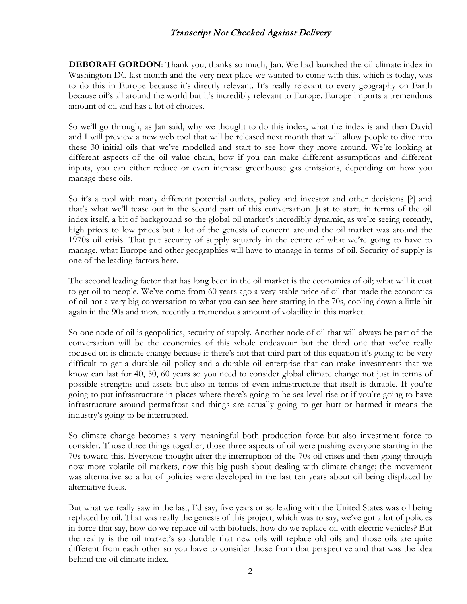**DEBORAH GORDON:** Thank you, thanks so much, Jan. We had launched the oil climate index in Washington DC last month and the very next place we wanted to come with this, which is today, was to do this in Europe because it's directly relevant. It's really relevant to every geography on Earth because oil's all around the world but it's incredibly relevant to Europe. Europe imports a tremendous amount of oil and has a lot of choices.

So we'll go through, as Jan said, why we thought to do this index, what the index is and then David and I will preview a new web tool that will be released next month that will allow people to dive into these 30 initial oils that we've modelled and start to see how they move around. We're looking at different aspects of the oil value chain, how if you can make different assumptions and different inputs, you can either reduce or even increase greenhouse gas emissions, depending on how you manage these oils.

So it's a tool with many different potential outlets, policy and investor and other decisions [?] and that's what we'll tease out in the second part of this conversation. Just to start, in terms of the oil index itself, a bit of background so the global oil market's incredibly dynamic, as we're seeing recently, high prices to low prices but a lot of the genesis of concern around the oil market was around the 1970s oil crisis. That put security of supply squarely in the centre of what we're going to have to manage, what Europe and other geographies will have to manage in terms of oil. Security of supply is one of the leading factors here.

The second leading factor that has long been in the oil market is the economics of oil; what will it cost to get oil to people. We've come from 60 years ago a very stable price of oil that made the economics of oil not a very big conversation to what you can see here starting in the 70s, cooling down a little bit again in the 90s and more recently a tremendous amount of volatility in this market.

So one node of oil is geopolitics, security of supply. Another node of oil that will always be part of the conversation will be the economics of this whole endeavour but the third one that we've really focused on is climate change because if there's not that third part of this equation it's going to be very difficult to get a durable oil policy and a durable oil enterprise that can make investments that we know can last for 40, 50, 60 years so you need to consider global climate change not just in terms of possible strengths and assets but also in terms of even infrastructure that itself is durable. If you're going to put infrastructure in places where there's going to be sea level rise or if you're going to have infrastructure around permafrost and things are actually going to get hurt or harmed it means the industry's going to be interrupted.

So climate change becomes a very meaningful both production force but also investment force to consider. Those three things together, those three aspects of oil were pushing everyone starting in the 70s toward this. Everyone thought after the interruption of the 70s oil crises and then going through now more volatile oil markets, now this big push about dealing with climate change; the movement was alternative so a lot of policies were developed in the last ten years about oil being displaced by alternative fuels.

But what we really saw in the last, I'd say, five years or so leading with the United States was oil being replaced by oil. That was really the genesis of this project, which was to say, we've got a lot of policies in force that say, how do we replace oil with biofuels, how do we replace oil with electric vehicles? But the reality is the oil market's so durable that new oils will replace old oils and those oils are quite different from each other so you have to consider those from that perspective and that was the idea behind the oil climate index.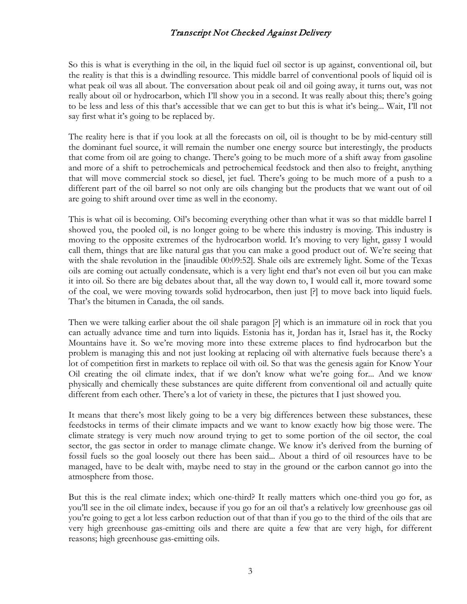So this is what is everything in the oil, in the liquid fuel oil sector is up against, conventional oil, but the reality is that this is a dwindling resource. This middle barrel of conventional pools of liquid oil is what peak oil was all about. The conversation about peak oil and oil going away, it turns out, was not really about oil or hydrocarbon, which I'll show you in a second. It was really about this; there's going to be less and less of this that's accessible that we can get to but this is what it's being... Wait, I'll not say first what it's going to be replaced by.

The reality here is that if you look at all the forecasts on oil, oil is thought to be by mid-century still the dominant fuel source, it will remain the number one energy source but interestingly, the products that come from oil are going to change. There's going to be much more of a shift away from gasoline and more of a shift to petrochemicals and petrochemical feedstock and then also to freight, anything that will move commercial stock so diesel, jet fuel. There's going to be much more of a push to a different part of the oil barrel so not only are oils changing but the products that we want out of oil are going to shift around over time as well in the economy.

This is what oil is becoming. Oil's becoming everything other than what it was so that middle barrel I showed you, the pooled oil, is no longer going to be where this industry is moving. This industry is moving to the opposite extremes of the hydrocarbon world. It's moving to very light, gassy I would call them, things that are like natural gas that you can make a good product out of. We're seeing that with the shale revolution in the [inaudible 00:09:52]. Shale oils are extremely light. Some of the Texas oils are coming out actually condensate, which is a very light end that's not even oil but you can make it into oil. So there are big debates about that, all the way down to, I would call it, more toward some of the coal, we were moving towards solid hydrocarbon, then just [?] to move back into liquid fuels. That's the bitumen in Canada, the oil sands.

Then we were talking earlier about the oil shale paragon [?] which is an immature oil in rock that you can actually advance time and turn into liquids. Estonia has it, Jordan has it, Israel has it, the Rocky Mountains have it. So we're moving more into these extreme places to find hydrocarbon but the problem is managing this and not just looking at replacing oil with alternative fuels because there's a lot of competition first in markets to replace oil with oil. So that was the genesis again for Know Your Oil creating the oil climate index, that if we don't know what we're going for... And we know physically and chemically these substances are quite different from conventional oil and actually quite different from each other. There's a lot of variety in these, the pictures that I just showed you.

It means that there's most likely going to be a very big differences between these substances, these feedstocks in terms of their climate impacts and we want to know exactly how big those were. The climate strategy is very much now around trying to get to some portion of the oil sector, the coal sector, the gas sector in order to manage climate change. We know it's derived from the burning of fossil fuels so the goal loosely out there has been said... About a third of oil resources have to be managed, have to be dealt with, maybe need to stay in the ground or the carbon cannot go into the atmosphere from those.

But this is the real climate index; which one-third? It really matters which one-third you go for, as you'll see in the oil climate index, because if you go for an oil that's a relatively low greenhouse gas oil you're going to get a lot less carbon reduction out of that than if you go to the third of the oils that are very high greenhouse gas-emitting oils and there are quite a few that are very high, for different reasons; high greenhouse gas-emitting oils.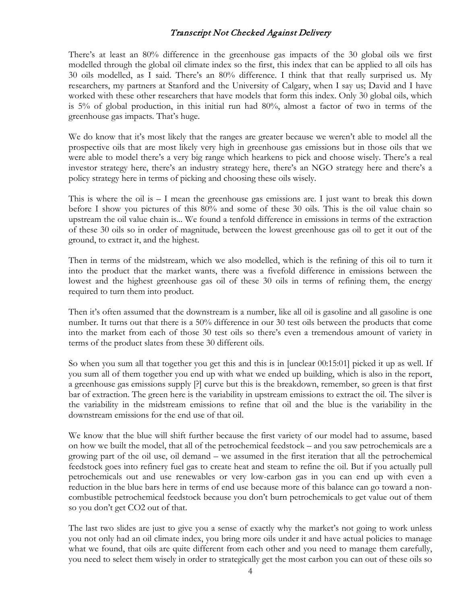There's at least an 80% difference in the greenhouse gas impacts of the 30 global oils we first modelled through the global oil climate index so the first, this index that can be applied to all oils has 30 oils modelled, as I said. There's an 80% difference. I think that that really surprised us. My researchers, my partners at Stanford and the University of Calgary, when I say us; David and I have worked with these other researchers that have models that form this index. Only 30 global oils, which is 5% of global production, in this initial run had 80%, almost a factor of two in terms of the greenhouse gas impacts. That's huge.

We do know that it's most likely that the ranges are greater because we weren't able to model all the prospective oils that are most likely very high in greenhouse gas emissions but in those oils that we were able to model there's a very big range which hearkens to pick and choose wisely. There's a real investor strategy here, there's an industry strategy here, there's an NGO strategy here and there's a policy strategy here in terms of picking and choosing these oils wisely.

This is where the oil is  $-1$  mean the greenhouse gas emissions are. I just want to break this down before I show you pictures of this 80% and some of these 30 oils. This is the oil value chain so upstream the oil value chain is... We found a tenfold difference in emissions in terms of the extraction of these 30 oils so in order of magnitude, between the lowest greenhouse gas oil to get it out of the ground, to extract it, and the highest.

Then in terms of the midstream, which we also modelled, which is the refining of this oil to turn it into the product that the market wants, there was a fivefold difference in emissions between the lowest and the highest greenhouse gas oil of these 30 oils in terms of refining them, the energy required to turn them into product.

Then it's often assumed that the downstream is a number, like all oil is gasoline and all gasoline is one number. It turns out that there is a 50% difference in our 30 test oils between the products that come into the market from each of those 30 test oils so there's even a tremendous amount of variety in terms of the product slates from these 30 different oils.

So when you sum all that together you get this and this is in [unclear 00:15:01] picked it up as well. If you sum all of them together you end up with what we ended up building, which is also in the report, a greenhouse gas emissions supply [?] curve but this is the breakdown, remember, so green is that first bar of extraction. The green here is the variability in upstream emissions to extract the oil. The silver is the variability in the midstream emissions to refine that oil and the blue is the variability in the downstream emissions for the end use of that oil.

We know that the blue will shift further because the first variety of our model had to assume, based on how we built the model, that all of the petrochemical feedstock – and you saw petrochemicals are a growing part of the oil use, oil demand – we assumed in the first iteration that all the petrochemical feedstock goes into refinery fuel gas to create heat and steam to refine the oil. But if you actually pull petrochemicals out and use renewables or very low-carbon gas in you can end up with even a reduction in the blue bars here in terms of end use because more of this balance can go toward a noncombustible petrochemical feedstock because you don't burn petrochemicals to get value out of them so you don't get CO2 out of that.

The last two slides are just to give you a sense of exactly why the market's not going to work unless you not only had an oil climate index, you bring more oils under it and have actual policies to manage what we found, that oils are quite different from each other and you need to manage them carefully, you need to select them wisely in order to strategically get the most carbon you can out of these oils so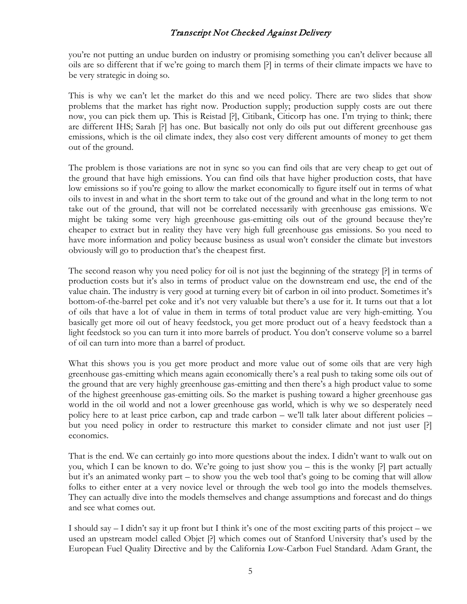you're not putting an undue burden on industry or promising something you can't deliver because all oils are so different that if we're going to march them [?] in terms of their climate impacts we have to be very strategic in doing so.

This is why we can't let the market do this and we need policy. There are two slides that show problems that the market has right now. Production supply; production supply costs are out there now, you can pick them up. This is Reistad [?], Citibank, Citicorp has one. I'm trying to think; there are different IHS; Sarah [?] has one. But basically not only do oils put out different greenhouse gas emissions, which is the oil climate index, they also cost very different amounts of money to get them out of the ground.

The problem is those variations are not in sync so you can find oils that are very cheap to get out of the ground that have high emissions. You can find oils that have higher production costs, that have low emissions so if you're going to allow the market economically to figure itself out in terms of what oils to invest in and what in the short term to take out of the ground and what in the long term to not take out of the ground, that will not be correlated necessarily with greenhouse gas emissions. We might be taking some very high greenhouse gas-emitting oils out of the ground because they're cheaper to extract but in reality they have very high full greenhouse gas emissions. So you need to have more information and policy because business as usual won't consider the climate but investors obviously will go to production that's the cheapest first.

The second reason why you need policy for oil is not just the beginning of the strategy [?] in terms of production costs but it's also in terms of product value on the downstream end use, the end of the value chain. The industry is very good at turning every bit of carbon in oil into product. Sometimes it's bottom-of-the-barrel pet coke and it's not very valuable but there's a use for it. It turns out that a lot of oils that have a lot of value in them in terms of total product value are very high-emitting. You basically get more oil out of heavy feedstock, you get more product out of a heavy feedstock than a light feedstock so you can turn it into more barrels of product. You don't conserve volume so a barrel of oil can turn into more than a barrel of product.

What this shows you is you get more product and more value out of some oils that are very high greenhouse gas-emitting which means again economically there's a real push to taking some oils out of the ground that are very highly greenhouse gas-emitting and then there's a high product value to some of the highest greenhouse gas-emitting oils. So the market is pushing toward a higher greenhouse gas world in the oil world and not a lower greenhouse gas world, which is why we so desperately need policy here to at least price carbon, cap and trade carbon – we'll talk later about different policies – but you need policy in order to restructure this market to consider climate and not just user [?] economics.

That is the end. We can certainly go into more questions about the index. I didn't want to walk out on you, which I can be known to do. We're going to just show you – this is the wonky [?] part actually but it's an animated wonky part – to show you the web tool that's going to be coming that will allow folks to either enter at a very novice level or through the web tool go into the models themselves. They can actually dive into the models themselves and change assumptions and forecast and do things and see what comes out.

I should say – I didn't say it up front but I think it's one of the most exciting parts of this project – we used an upstream model called Objet [?] which comes out of Stanford University that's used by the European Fuel Quality Directive and by the California Low-Carbon Fuel Standard. Adam Grant, the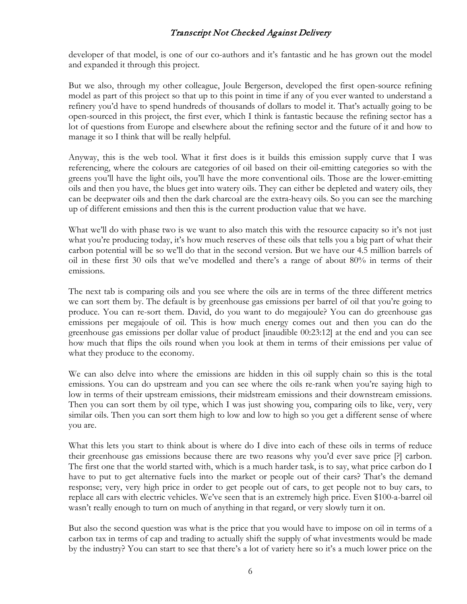developer of that model, is one of our co-authors and it's fantastic and he has grown out the model and expanded it through this project.

But we also, through my other colleague, Joule Bergerson, developed the first open-source refining model as part of this project so that up to this point in time if any of you ever wanted to understand a refinery you'd have to spend hundreds of thousands of dollars to model it. That's actually going to be open-sourced in this project, the first ever, which I think is fantastic because the refining sector has a lot of questions from Europe and elsewhere about the refining sector and the future of it and how to manage it so I think that will be really helpful.

Anyway, this is the web tool. What it first does is it builds this emission supply curve that I was referencing, where the colours are categories of oil based on their oil-emitting categories so with the greens you'll have the light oils, you'll have the more conventional oils. Those are the lower-emitting oils and then you have, the blues get into watery oils. They can either be depleted and watery oils, they can be deepwater oils and then the dark charcoal are the extra-heavy oils. So you can see the marching up of different emissions and then this is the current production value that we have.

What we'll do with phase two is we want to also match this with the resource capacity so it's not just what you're producing today, it's how much reserves of these oils that tells you a big part of what their carbon potential will be so we'll do that in the second version. But we have our 4.5 million barrels of oil in these first 30 oils that we've modelled and there's a range of about 80% in terms of their emissions.

The next tab is comparing oils and you see where the oils are in terms of the three different metrics we can sort them by. The default is by greenhouse gas emissions per barrel of oil that you're going to produce. You can re-sort them. David, do you want to do megajoule? You can do greenhouse gas emissions per megajoule of oil. This is how much energy comes out and then you can do the greenhouse gas emissions per dollar value of product [inaudible 00:23:12] at the end and you can see how much that flips the oils round when you look at them in terms of their emissions per value of what they produce to the economy.

We can also delve into where the emissions are hidden in this oil supply chain so this is the total emissions. You can do upstream and you can see where the oils re-rank when you're saying high to low in terms of their upstream emissions, their midstream emissions and their downstream emissions. Then you can sort them by oil type, which I was just showing you, comparing oils to like, very, very similar oils. Then you can sort them high to low and low to high so you get a different sense of where you are.

What this lets you start to think about is where do I dive into each of these oils in terms of reduce their greenhouse gas emissions because there are two reasons why you'd ever save price [?] carbon. The first one that the world started with, which is a much harder task, is to say, what price carbon do I have to put to get alternative fuels into the market or people out of their cars? That's the demand response; very, very high price in order to get people out of cars, to get people not to buy cars, to replace all cars with electric vehicles. We've seen that is an extremely high price. Even \$100-a-barrel oil wasn't really enough to turn on much of anything in that regard, or very slowly turn it on.

But also the second question was what is the price that you would have to impose on oil in terms of a carbon tax in terms of cap and trading to actually shift the supply of what investments would be made by the industry? You can start to see that there's a lot of variety here so it's a much lower price on the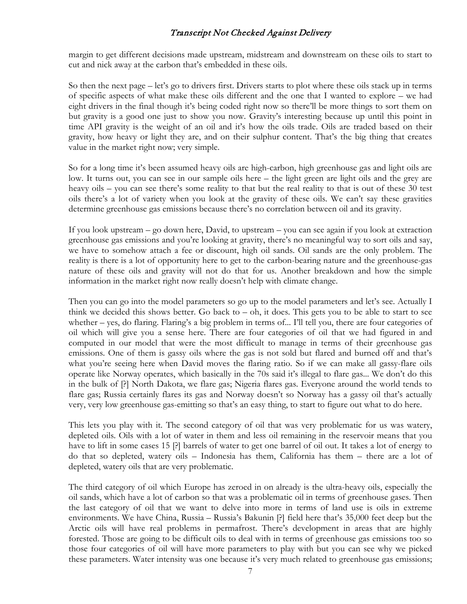margin to get different decisions made upstream, midstream and downstream on these oils to start to cut and nick away at the carbon that's embedded in these oils.

So then the next page – let's go to drivers first. Drivers starts to plot where these oils stack up in terms of specific aspects of what make these oils different and the one that I wanted to explore – we had eight drivers in the final though it's being coded right now so there'll be more things to sort them on but gravity is a good one just to show you now. Gravity's interesting because up until this point in time API gravity is the weight of an oil and it's how the oils trade. Oils are traded based on their gravity, how heavy or light they are, and on their sulphur content. That's the big thing that creates value in the market right now; very simple.

So for a long time it's been assumed heavy oils are high-carbon, high greenhouse gas and light oils are low. It turns out, you can see in our sample oils here – the light green are light oils and the grey are heavy oils – you can see there's some reality to that but the real reality to that is out of these 30 test oils there's a lot of variety when you look at the gravity of these oils. We can't say these gravities determine greenhouse gas emissions because there's no correlation between oil and its gravity.

If you look upstream – go down here, David, to upstream – you can see again if you look at extraction greenhouse gas emissions and you're looking at gravity, there's no meaningful way to sort oils and say, we have to somehow attach a fee or discount, high oil sands. Oil sands are the only problem. The reality is there is a lot of opportunity here to get to the carbon-bearing nature and the greenhouse-gas nature of these oils and gravity will not do that for us. Another breakdown and how the simple information in the market right now really doesn't help with climate change.

Then you can go into the model parameters so go up to the model parameters and let's see. Actually I think we decided this shows better. Go back to – oh, it does. This gets you to be able to start to see whether – yes, do flaring. Flaring's a big problem in terms of... I'll tell you, there are four categories of oil which will give you a sense here. There are four categories of oil that we had figured in and computed in our model that were the most difficult to manage in terms of their greenhouse gas emissions. One of them is gassy oils where the gas is not sold but flared and burned off and that's what you're seeing here when David moves the flaring ratio. So if we can make all gassy-flare oils operate like Norway operates, which basically in the 70s said it's illegal to flare gas... We don't do this in the bulk of [?] North Dakota, we flare gas; Nigeria flares gas. Everyone around the world tends to flare gas; Russia certainly flares its gas and Norway doesn't so Norway has a gassy oil that's actually very, very low greenhouse gas-emitting so that's an easy thing, to start to figure out what to do here.

This lets you play with it. The second category of oil that was very problematic for us was watery, depleted oils. Oils with a lot of water in them and less oil remaining in the reservoir means that you have to lift in some cases 15 [?] barrels of water to get one barrel of oil out. It takes a lot of energy to do that so depleted, watery oils – Indonesia has them, California has them – there are a lot of depleted, watery oils that are very problematic.

The third category of oil which Europe has zeroed in on already is the ultra-heavy oils, especially the oil sands, which have a lot of carbon so that was a problematic oil in terms of greenhouse gases. Then the last category of oil that we want to delve into more in terms of land use is oils in extreme environments. We have China, Russia – Russia's Bakunin [?] field here that's 35,000 feet deep but the Arctic oils will have real problems in permafrost. There's development in areas that are highly forested. Those are going to be difficult oils to deal with in terms of greenhouse gas emissions too so those four categories of oil will have more parameters to play with but you can see why we picked these parameters. Water intensity was one because it's very much related to greenhouse gas emissions;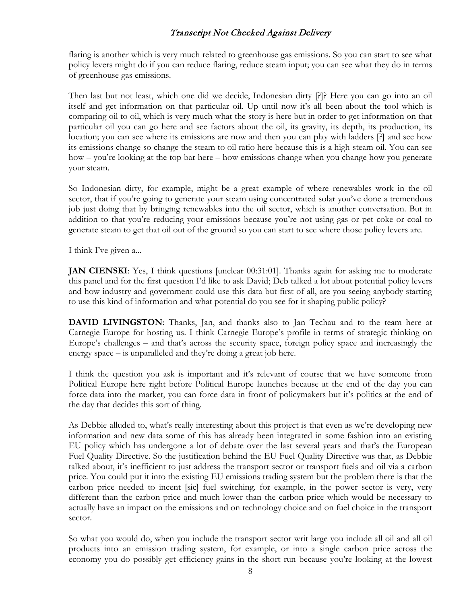flaring is another which is very much related to greenhouse gas emissions. So you can start to see what policy levers might do if you can reduce flaring, reduce steam input; you can see what they do in terms of greenhouse gas emissions.

Then last but not least, which one did we decide, Indonesian dirty [?]? Here you can go into an oil itself and get information on that particular oil. Up until now it's all been about the tool which is comparing oil to oil, which is very much what the story is here but in order to get information on that particular oil you can go here and see factors about the oil, its gravity, its depth, its production, its location; you can see where its emissions are now and then you can play with ladders [?] and see how its emissions change so change the steam to oil ratio here because this is a high-steam oil. You can see how – you're looking at the top bar here – how emissions change when you change how you generate your steam.

So Indonesian dirty, for example, might be a great example of where renewables work in the oil sector, that if you're going to generate your steam using concentrated solar you've done a tremendous job just doing that by bringing renewables into the oil sector, which is another conversation. But in addition to that you're reducing your emissions because you're not using gas or pet coke or coal to generate steam to get that oil out of the ground so you can start to see where those policy levers are.

I think I've given a...

**JAN CIENSKI:** Yes, I think questions [unclear 00:31:01]. Thanks again for asking me to moderate this panel and for the first question I'd like to ask David; Deb talked a lot about potential policy levers and how industry and government could use this data but first of all, are you seeing anybody starting to use this kind of information and what potential do you see for it shaping public policy?

**DAVID LIVINGSTON:** Thanks, Jan, and thanks also to Jan Techau and to the team here at Carnegie Europe for hosting us. I think Carnegie Europe's profile in terms of strategic thinking on Europe's challenges – and that's across the security space, foreign policy space and increasingly the energy space – is unparalleled and they're doing a great job here.

I think the question you ask is important and it's relevant of course that we have someone from Political Europe here right before Political Europe launches because at the end of the day you can force data into the market, you can force data in front of policymakers but it's politics at the end of the day that decides this sort of thing.

As Debbie alluded to, what's really interesting about this project is that even as we're developing new information and new data some of this has already been integrated in some fashion into an existing EU policy which has undergone a lot of debate over the last several years and that's the European Fuel Quality Directive. So the justification behind the EU Fuel Quality Directive was that, as Debbie talked about, it's inefficient to just address the transport sector or transport fuels and oil via a carbon price. You could put it into the existing EU emissions trading system but the problem there is that the carbon price needed to incent [sic] fuel switching, for example, in the power sector is very, very different than the carbon price and much lower than the carbon price which would be necessary to actually have an impact on the emissions and on technology choice and on fuel choice in the transport sector.

So what you would do, when you include the transport sector writ large you include all oil and all oil products into an emission trading system, for example, or into a single carbon price across the economy you do possibly get efficiency gains in the short run because you're looking at the lowest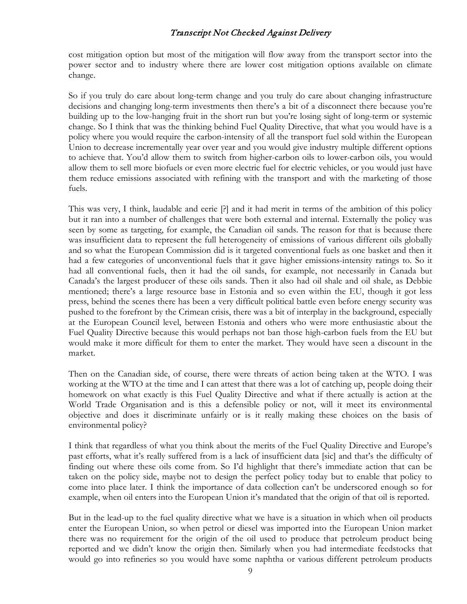cost mitigation option but most of the mitigation will flow away from the transport sector into the power sector and to industry where there are lower cost mitigation options available on climate change.

So if you truly do care about long-term change and you truly do care about changing infrastructure decisions and changing long-term investments then there's a bit of a disconnect there because you're building up to the low-hanging fruit in the short run but you're losing sight of long-term or systemic change. So I think that was the thinking behind Fuel Quality Directive, that what you would have is a policy where you would require the carbon-intensity of all the transport fuel sold within the European Union to decrease incrementally year over year and you would give industry multiple different options to achieve that. You'd allow them to switch from higher-carbon oils to lower-carbon oils, you would allow them to sell more biofuels or even more electric fuel for electric vehicles, or you would just have them reduce emissions associated with refining with the transport and with the marketing of those fuels.

This was very, I think, laudable and eerie [?] and it had merit in terms of the ambition of this policy but it ran into a number of challenges that were both external and internal. Externally the policy was seen by some as targeting, for example, the Canadian oil sands. The reason for that is because there was insufficient data to represent the full heterogeneity of emissions of various different oils globally and so what the European Commission did is it targeted conventional fuels as one basket and then it had a few categories of unconventional fuels that it gave higher emissions-intensity ratings to. So it had all conventional fuels, then it had the oil sands, for example, not necessarily in Canada but Canada's the largest producer of these oils sands. Then it also had oil shale and oil shale, as Debbie mentioned; there's a large resource base in Estonia and so even within the EU, though it got less press, behind the scenes there has been a very difficult political battle even before energy security was pushed to the forefront by the Crimean crisis, there was a bit of interplay in the background, especially at the European Council level, between Estonia and others who were more enthusiastic about the Fuel Quality Directive because this would perhaps not ban those high-carbon fuels from the EU but would make it more difficult for them to enter the market. They would have seen a discount in the market.

Then on the Canadian side, of course, there were threats of action being taken at the WTO. I was working at the WTO at the time and I can attest that there was a lot of catching up, people doing their homework on what exactly is this Fuel Quality Directive and what if there actually is action at the World Trade Organisation and is this a defensible policy or not, will it meet its environmental objective and does it discriminate unfairly or is it really making these choices on the basis of environmental policy?

I think that regardless of what you think about the merits of the Fuel Quality Directive and Europe's past efforts, what it's really suffered from is a lack of insufficient data [sic] and that's the difficulty of finding out where these oils come from. So I'd highlight that there's immediate action that can be taken on the policy side, maybe not to design the perfect policy today but to enable that policy to come into place later. I think the importance of data collection can't be underscored enough so for example, when oil enters into the European Union it's mandated that the origin of that oil is reported.

But in the lead-up to the fuel quality directive what we have is a situation in which when oil products enter the European Union, so when petrol or diesel was imported into the European Union market there was no requirement for the origin of the oil used to produce that petroleum product being reported and we didn't know the origin then. Similarly when you had intermediate feedstocks that would go into refineries so you would have some naphtha or various different petroleum products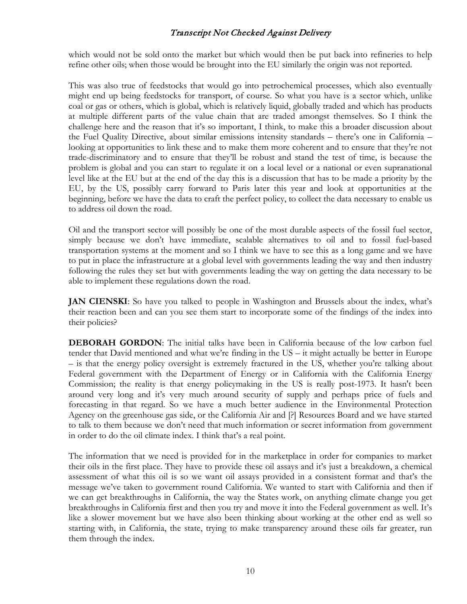which would not be sold onto the market but which would then be put back into refineries to help refine other oils; when those would be brought into the EU similarly the origin was not reported.

This was also true of feedstocks that would go into petrochemical processes, which also eventually might end up being feedstocks for transport, of course. So what you have is a sector which, unlike coal or gas or others, which is global, which is relatively liquid, globally traded and which has products at multiple different parts of the value chain that are traded amongst themselves. So I think the challenge here and the reason that it's so important, I think, to make this a broader discussion about the Fuel Quality Directive, about similar emissions intensity standards – there's one in California – looking at opportunities to link these and to make them more coherent and to ensure that they're not trade-discriminatory and to ensure that they'll be robust and stand the test of time, is because the problem is global and you can start to regulate it on a local level or a national or even supranational level like at the EU but at the end of the day this is a discussion that has to be made a priority by the EU, by the US, possibly carry forward to Paris later this year and look at opportunities at the beginning, before we have the data to craft the perfect policy, to collect the data necessary to enable us to address oil down the road.

Oil and the transport sector will possibly be one of the most durable aspects of the fossil fuel sector, simply because we don't have immediate, scalable alternatives to oil and to fossil fuel-based transportation systems at the moment and so I think we have to see this as a long game and we have to put in place the infrastructure at a global level with governments leading the way and then industry following the rules they set but with governments leading the way on getting the data necessary to be able to implement these regulations down the road.

**JAN CIENSKI**: So have you talked to people in Washington and Brussels about the index, what's their reaction been and can you see them start to incorporate some of the findings of the index into their policies?

**DEBORAH GORDON**: The initial talks have been in California because of the low carbon fuel tender that David mentioned and what we're finding in the US – it might actually be better in Europe – is that the energy policy oversight is extremely fractured in the US, whether you're talking about Federal government with the Department of Energy or in California with the California Energy Commission; the reality is that energy policymaking in the US is really post-1973. It hasn't been around very long and it's very much around security of supply and perhaps price of fuels and forecasting in that regard. So we have a much better audience in the Environmental Protection Agency on the greenhouse gas side, or the California Air and [?] Resources Board and we have started to talk to them because we don't need that much information or secret information from government in order to do the oil climate index. I think that's a real point.

The information that we need is provided for in the marketplace in order for companies to market their oils in the first place. They have to provide these oil assays and it's just a breakdown, a chemical assessment of what this oil is so we want oil assays provided in a consistent format and that's the message we've taken to government round California. We wanted to start with California and then if we can get breakthroughs in California, the way the States work, on anything climate change you get breakthroughs in California first and then you try and move it into the Federal government as well. It's like a slower movement but we have also been thinking about working at the other end as well so starting with, in California, the state, trying to make transparency around these oils far greater, run them through the index.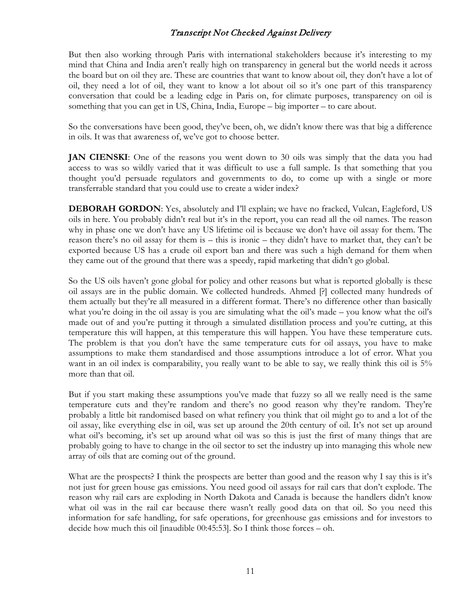But then also working through Paris with international stakeholders because it's interesting to my mind that China and India aren't really high on transparency in general but the world needs it across the board but on oil they are. These are countries that want to know about oil, they don't have a lot of oil, they need a lot of oil, they want to know a lot about oil so it's one part of this transparency conversation that could be a leading edge in Paris on, for climate purposes, transparency on oil is something that you can get in US, China, India, Europe – big importer – to care about.

So the conversations have been good, they've been, oh, we didn't know there was that big a difference in oils. It was that awareness of, we've got to choose better.

**JAN CIENSKI**: One of the reasons you went down to 30 oils was simply that the data you had access to was so wildly varied that it was difficult to use a full sample. Is that something that you thought you'd persuade regulators and governments to do, to come up with a single or more transferrable standard that you could use to create a wider index?

**DEBORAH GORDON**: Yes, absolutely and I'll explain; we have no fracked, Vulcan, Eagleford, US oils in here. You probably didn't real but it's in the report, you can read all the oil names. The reason why in phase one we don't have any US lifetime oil is because we don't have oil assay for them. The reason there's no oil assay for them is – this is ironic – they didn't have to market that, they can't be exported because US has a crude oil export ban and there was such a high demand for them when they came out of the ground that there was a speedy, rapid marketing that didn't go global.

So the US oils haven't gone global for policy and other reasons but what is reported globally is these oil assays are in the public domain. We collected hundreds. Ahmed [?] collected many hundreds of them actually but they're all measured in a different format. There's no difference other than basically what you're doing in the oil assay is you are simulating what the oil's made – you know what the oil's made out of and you're putting it through a simulated distillation process and you're cutting, at this temperature this will happen, at this temperature this will happen. You have these temperature cuts. The problem is that you don't have the same temperature cuts for oil assays, you have to make assumptions to make them standardised and those assumptions introduce a lot of error. What you want in an oil index is comparability, you really want to be able to say, we really think this oil is 5% more than that oil.

But if you start making these assumptions you've made that fuzzy so all we really need is the same temperature cuts and they're random and there's no good reason why they're random. They're probably a little bit randomised based on what refinery you think that oil might go to and a lot of the oil assay, like everything else in oil, was set up around the 20th century of oil. It's not set up around what oil's becoming, it's set up around what oil was so this is just the first of many things that are probably going to have to change in the oil sector to set the industry up into managing this whole new array of oils that are coming out of the ground.

What are the prospects? I think the prospects are better than good and the reason why I say this is it's not just for green house gas emissions. You need good oil assays for rail cars that don't explode. The reason why rail cars are exploding in North Dakota and Canada is because the handlers didn't know what oil was in the rail car because there wasn't really good data on that oil. So you need this information for safe handling, for safe operations, for greenhouse gas emissions and for investors to decide how much this oil [inaudible 00:45:53]. So I think those forces – oh.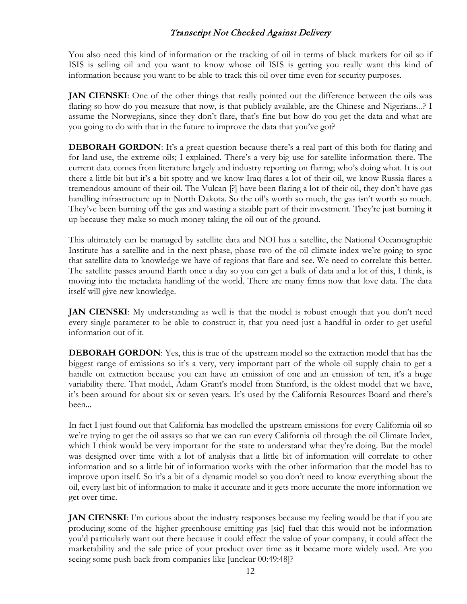You also need this kind of information or the tracking of oil in terms of black markets for oil so if ISIS is selling oil and you want to know whose oil ISIS is getting you really want this kind of information because you want to be able to track this oil over time even for security purposes.

**JAN CIENSKI:** One of the other things that really pointed out the difference between the oils was flaring so how do you measure that now, is that publicly available, are the Chinese and Nigerians...? I assume the Norwegians, since they don't flare, that's fine but how do you get the data and what are you going to do with that in the future to improve the data that you've got?

**DEBORAH GORDON**: It's a great question because there's a real part of this both for flaring and for land use, the extreme oils; I explained. There's a very big use for satellite information there. The current data comes from literature largely and industry reporting on flaring; who's doing what. It is out there a little bit but it's a bit spotty and we know Iraq flares a lot of their oil, we know Russia flares a tremendous amount of their oil. The Vulcan [?] have been flaring a lot of their oil, they don't have gas handling infrastructure up in North Dakota. So the oil's worth so much, the gas isn't worth so much. They've been burning off the gas and wasting a sizable part of their investment. They're just burning it up because they make so much money taking the oil out of the ground.

This ultimately can be managed by satellite data and NOI has a satellite, the National Oceanographic Institute has a satellite and in the next phase, phase two of the oil climate index we're going to sync that satellite data to knowledge we have of regions that flare and see. We need to correlate this better. The satellite passes around Earth once a day so you can get a bulk of data and a lot of this, I think, is moving into the metadata handling of the world. There are many firms now that love data. The data itself will give new knowledge.

**JAN CIENSKI:** My understanding as well is that the model is robust enough that you don't need every single parameter to be able to construct it, that you need just a handful in order to get useful information out of it.

**DEBORAH GORDON**: Yes, this is true of the upstream model so the extraction model that has the biggest range of emissions so it's a very, very important part of the whole oil supply chain to get a handle on extraction because you can have an emission of one and an emission of ten, it's a huge variability there. That model, Adam Grant's model from Stanford, is the oldest model that we have, it's been around for about six or seven years. It's used by the California Resources Board and there's been...

In fact I just found out that California has modelled the upstream emissions for every California oil so we're trying to get the oil assays so that we can run every California oil through the oil Climate Index, which I think would be very important for the state to understand what they're doing. But the model was designed over time with a lot of analysis that a little bit of information will correlate to other information and so a little bit of information works with the other information that the model has to improve upon itself. So it's a bit of a dynamic model so you don't need to know everything about the oil, every last bit of information to make it accurate and it gets more accurate the more information we get over time.

**JAN CIENSKI**: I'm curious about the industry responses because my feeling would be that if you are producing some of the higher greenhouse-emitting gas [sic] fuel that this would not be information you'd particularly want out there because it could effect the value of your company, it could affect the marketability and the sale price of your product over time as it became more widely used. Are you seeing some push-back from companies like [unclear 00:49:48]?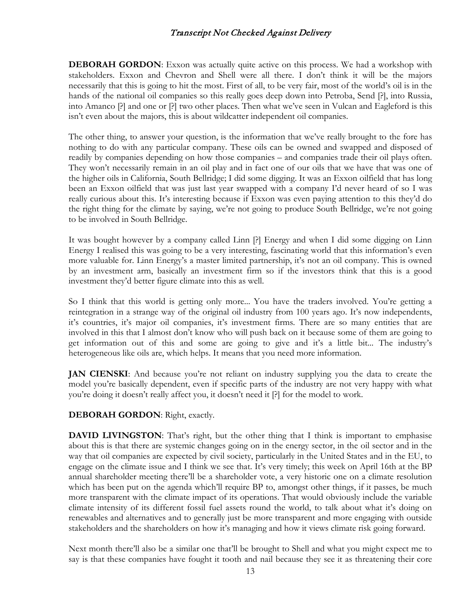**DEBORAH GORDON**: Exxon was actually quite active on this process. We had a workshop with stakeholders. Exxon and Chevron and Shell were all there. I don't think it will be the majors necessarily that this is going to hit the most. First of all, to be very fair, most of the world's oil is in the hands of the national oil companies so this really goes deep down into Petroba, Send [?], into Russia, into Amanco [?] and one or [?] two other places. Then what we've seen in Vulcan and Eagleford is this isn't even about the majors, this is about wildcatter independent oil companies.

The other thing, to answer your question, is the information that we've really brought to the fore has nothing to do with any particular company. These oils can be owned and swapped and disposed of readily by companies depending on how those companies – and companies trade their oil plays often. They won't necessarily remain in an oil play and in fact one of our oils that we have that was one of the higher oils in California, South Bellridge; I did some digging. It was an Exxon oilfield that has long been an Exxon oilfield that was just last year swapped with a company I'd never heard of so I was really curious about this. It's interesting because if Exxon was even paying attention to this they'd do the right thing for the climate by saying, we're not going to produce South Bellridge, we're not going to be involved in South Bellridge.

It was bought however by a company called Linn [?] Energy and when I did some digging on Linn Energy I realised this was going to be a very interesting, fascinating world that this information's even more valuable for. Linn Energy's a master limited partnership, it's not an oil company. This is owned by an investment arm, basically an investment firm so if the investors think that this is a good investment they'd better figure climate into this as well.

So I think that this world is getting only more... You have the traders involved. You're getting a reintegration in a strange way of the original oil industry from 100 years ago. It's now independents, it's countries, it's major oil companies, it's investment firms. There are so many entities that are involved in this that I almost don't know who will push back on it because some of them are going to get information out of this and some are going to give and it's a little bit... The industry's heterogeneous like oils are, which helps. It means that you need more information.

**JAN CIENSKI:** And because you're not reliant on industry supplying you the data to create the model you're basically dependent, even if specific parts of the industry are not very happy with what you're doing it doesn't really affect you, it doesn't need it [?] for the model to work.

**DEBORAH GORDON**: Right, exactly.

**DAVID LIVINGSTON**: That's right, but the other thing that I think is important to emphasise about this is that there are systemic changes going on in the energy sector, in the oil sector and in the way that oil companies are expected by civil society, particularly in the United States and in the EU, to engage on the climate issue and I think we see that. It's very timely; this week on April 16th at the BP annual shareholder meeting there'll be a shareholder vote, a very historic one on a climate resolution which has been put on the agenda which'll require BP to, amongst other things, if it passes, be much more transparent with the climate impact of its operations. That would obviously include the variable climate intensity of its different fossil fuel assets round the world, to talk about what it's doing on renewables and alternatives and to generally just be more transparent and more engaging with outside stakeholders and the shareholders on how it's managing and how it views climate risk going forward.

Next month there'll also be a similar one that'll be brought to Shell and what you might expect me to say is that these companies have fought it tooth and nail because they see it as threatening their core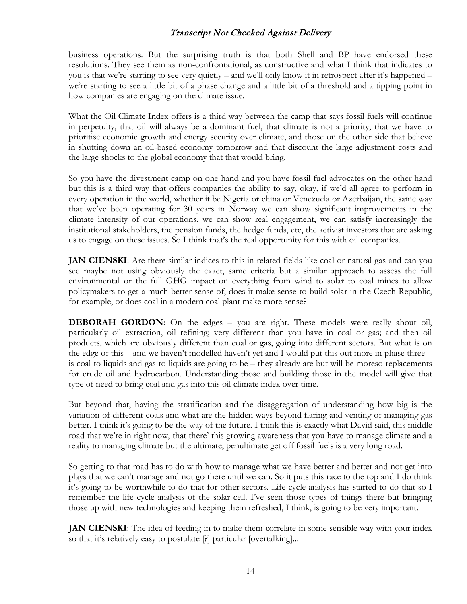business operations. But the surprising truth is that both Shell and BP have endorsed these resolutions. They see them as non-confrontational, as constructive and what I think that indicates to you is that we're starting to see very quietly – and we'll only know it in retrospect after it's happened – we're starting to see a little bit of a phase change and a little bit of a threshold and a tipping point in how companies are engaging on the climate issue.

What the Oil Climate Index offers is a third way between the camp that says fossil fuels will continue in perpetuity, that oil will always be a dominant fuel, that climate is not a priority, that we have to prioritise economic growth and energy security over climate, and those on the other side that believe in shutting down an oil-based economy tomorrow and that discount the large adjustment costs and the large shocks to the global economy that that would bring.

So you have the divestment camp on one hand and you have fossil fuel advocates on the other hand but this is a third way that offers companies the ability to say, okay, if we'd all agree to perform in every operation in the world, whether it be Nigeria or china or Venezuela or Azerbaijan, the same way that we've been operating for 30 years in Norway we can show significant improvements in the climate intensity of our operations, we can show real engagement, we can satisfy increasingly the institutional stakeholders, the pension funds, the hedge funds, etc, the activist investors that are asking us to engage on these issues. So I think that's the real opportunity for this with oil companies.

**JAN CIENSKI:** Are there similar indices to this in related fields like coal or natural gas and can you see maybe not using obviously the exact, same criteria but a similar approach to assess the full environmental or the full GHG impact on everything from wind to solar to coal mines to allow policymakers to get a much better sense of, does it make sense to build solar in the Czech Republic, for example, or does coal in a modern coal plant make more sense?

**DEBORAH GORDON**: On the edges – you are right. These models were really about oil, particularly oil extraction, oil refining; very different than you have in coal or gas; and then oil products, which are obviously different than coal or gas, going into different sectors. But what is on the edge of this – and we haven't modelled haven't yet and I would put this out more in phase three – is coal to liquids and gas to liquids are going to be – they already are but will be moreso replacements for crude oil and hydrocarbon. Understanding those and building those in the model will give that type of need to bring coal and gas into this oil climate index over time.

But beyond that, having the stratification and the disaggregation of understanding how big is the variation of different coals and what are the hidden ways beyond flaring and venting of managing gas better. I think it's going to be the way of the future. I think this is exactly what David said, this middle road that we're in right now, that there' this growing awareness that you have to manage climate and a reality to managing climate but the ultimate, penultimate get off fossil fuels is a very long road.

So getting to that road has to do with how to manage what we have better and better and not get into plays that we can't manage and not go there until we can. So it puts this race to the top and I do think it's going to be worthwhile to do that for other sectors. Life cycle analysis has started to do that so I remember the life cycle analysis of the solar cell. I've seen those types of things there but bringing those up with new technologies and keeping them refreshed, I think, is going to be very important.

**JAN CIENSKI**: The idea of feeding in to make them correlate in some sensible way with your index so that it's relatively easy to postulate [?] particular [overtalking]...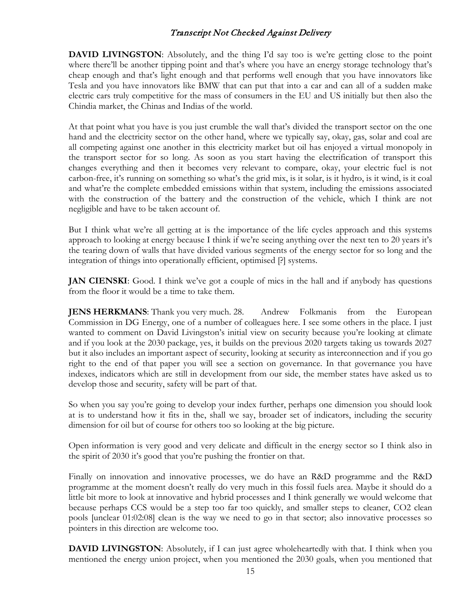**DAVID LIVINGSTON:** Absolutely, and the thing I'd say too is we're getting close to the point where there'll be another tipping point and that's where you have an energy storage technology that's cheap enough and that's light enough and that performs well enough that you have innovators like Tesla and you have innovators like BMW that can put that into a car and can all of a sudden make electric cars truly competitive for the mass of consumers in the EU and US initially but then also the Chindia market, the Chinas and Indias of the world.

At that point what you have is you just crumble the wall that's divided the transport sector on the one hand and the electricity sector on the other hand, where we typically say, okay, gas, solar and coal are all competing against one another in this electricity market but oil has enjoyed a virtual monopoly in the transport sector for so long. As soon as you start having the electrification of transport this changes everything and then it becomes very relevant to compare, okay, your electric fuel is not carbon-free, it's running on something so what's the grid mix, is it solar, is it hydro, is it wind, is it coal and what're the complete embedded emissions within that system, including the emissions associated with the construction of the battery and the construction of the vehicle, which I think are not negligible and have to be taken account of.

But I think what we're all getting at is the importance of the life cycles approach and this systems approach to looking at energy because I think if we're seeing anything over the next ten to 20 years it's the tearing down of walls that have divided various segments of the energy sector for so long and the integration of things into operationally efficient, optimised [?] systems.

**JAN CIENSKI:** Good. I think we've got a couple of mics in the hall and if anybody has questions from the floor it would be a time to take them.

**JENS HERKMANS:** Thank you very much. 28. Andrew Folkmanis from the European Commission in DG Energy, one of a number of colleagues here. I see some others in the place. I just wanted to comment on David Livingston's initial view on security because you're looking at climate and if you look at the 2030 package, yes, it builds on the previous 2020 targets taking us towards 2027 but it also includes an important aspect of security, looking at security as interconnection and if you go right to the end of that paper you will see a section on governance. In that governance you have indexes, indicators which are still in development from our side, the member states have asked us to develop those and security, safety will be part of that.

So when you say you're going to develop your index further, perhaps one dimension you should look at is to understand how it fits in the, shall we say, broader set of indicators, including the security dimension for oil but of course for others too so looking at the big picture.

Open information is very good and very delicate and difficult in the energy sector so I think also in the spirit of 2030 it's good that you're pushing the frontier on that.

Finally on innovation and innovative processes, we do have an R&D programme and the R&D programme at the moment doesn't really do very much in this fossil fuels area. Maybe it should do a little bit more to look at innovative and hybrid processes and I think generally we would welcome that because perhaps CCS would be a step too far too quickly, and smaller steps to cleaner, CO2 clean pools [unclear 01:02:08] clean is the way we need to go in that sector; also innovative processes so pointers in this direction are welcome too.

**DAVID LIVINGSTON:** Absolutely, if I can just agree wholeheartedly with that. I think when you mentioned the energy union project, when you mentioned the 2030 goals, when you mentioned that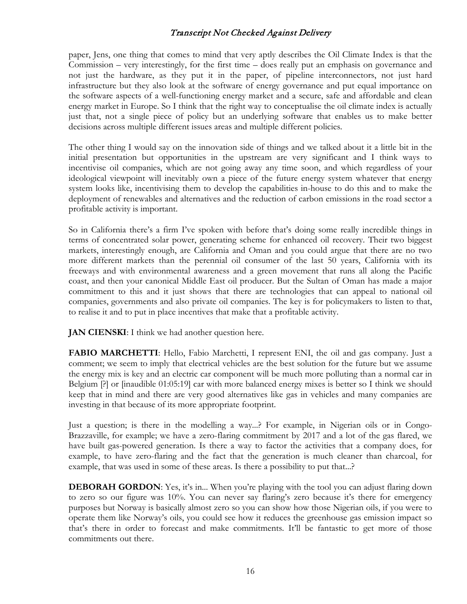paper, Jens, one thing that comes to mind that very aptly describes the Oil Climate Index is that the Commission – very interestingly, for the first time – does really put an emphasis on governance and not just the hardware, as they put it in the paper, of pipeline interconnectors, not just hard infrastructure but they also look at the software of energy governance and put equal importance on the software aspects of a well-functioning energy market and a secure, safe and affordable and clean energy market in Europe. So I think that the right way to conceptualise the oil climate index is actually just that, not a single piece of policy but an underlying software that enables us to make better decisions across multiple different issues areas and multiple different policies.

The other thing I would say on the innovation side of things and we talked about it a little bit in the initial presentation but opportunities in the upstream are very significant and I think ways to incentivise oil companies, which are not going away any time soon, and which regardless of your ideological viewpoint will inevitably own a piece of the future energy system whatever that energy system looks like, incentivising them to develop the capabilities in-house to do this and to make the deployment of renewables and alternatives and the reduction of carbon emissions in the road sector a profitable activity is important.

So in California there's a firm I've spoken with before that's doing some really incredible things in terms of concentrated solar power, generating scheme for enhanced oil recovery. Their two biggest markets, interestingly enough, are California and Oman and you could argue that there are no two more different markets than the perennial oil consumer of the last 50 years, California with its freeways and with environmental awareness and a green movement that runs all along the Pacific coast, and then your canonical Middle East oil producer. But the Sultan of Oman has made a major commitment to this and it just shows that there are technologies that can appeal to national oil companies, governments and also private oil companies. The key is for policymakers to listen to that, to realise it and to put in place incentives that make that a profitable activity.

**JAN CIENSKI:** I think we had another question here.

**FABIO MARCHETTI:** Hello, Fabio Marchetti, I represent ENI, the oil and gas company. Just a comment; we seem to imply that electrical vehicles are the best solution for the future but we assume the energy mix is key and an electric car component will be much more polluting than a normal car in Belgium [?] or [inaudible 01:05:19] car with more balanced energy mixes is better so I think we should keep that in mind and there are very good alternatives like gas in vehicles and many companies are investing in that because of its more appropriate footprint.

Just a question; is there in the modelling a way...? For example, in Nigerian oils or in Congo-Brazzaville, for example; we have a zero-flaring commitment by 2017 and a lot of the gas flared, we have built gas-powered generation. Is there a way to factor the activities that a company does, for example, to have zero-flaring and the fact that the generation is much cleaner than charcoal, for example, that was used in some of these areas. Is there a possibility to put that...?

**DEBORAH GORDON**: Yes, it's in... When you're playing with the tool you can adjust flaring down to zero so our figure was 10%. You can never say flaring's zero because it's there for emergency purposes but Norway is basically almost zero so you can show how those Nigerian oils, if you were to operate them like Norway's oils, you could see how it reduces the greenhouse gas emission impact so that's there in order to forecast and make commitments. It'll be fantastic to get more of those commitments out there.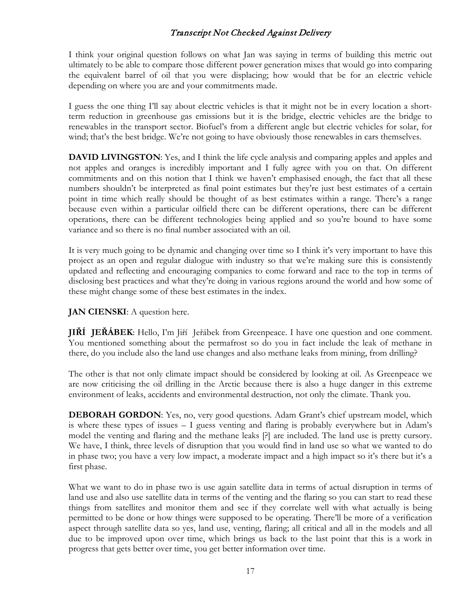I think your original question follows on what Jan was saying in terms of building this metric out ultimately to be able to compare those different power generation mixes that would go into comparing the equivalent barrel of oil that you were displacing; how would that be for an electric vehicle depending on where you are and your commitments made.

I guess the one thing I'll say about electric vehicles is that it might not be in every location a shortterm reduction in greenhouse gas emissions but it is the bridge, electric vehicles are the bridge to renewables in the transport sector. Biofuel's from a different angle but electric vehicles for solar, for wind; that's the best bridge. We're not going to have obviously those renewables in cars themselves.

**DAVID LIVINGSTON:** Yes, and I think the life cycle analysis and comparing apples and apples and not apples and oranges is incredibly important and I fully agree with you on that. On different commitments and on this notion that I think we haven't emphasised enough, the fact that all these numbers shouldn't be interpreted as final point estimates but they're just best estimates of a certain point in time which really should be thought of as best estimates within a range. There's a range because even within a particular oilfield there can be different operations, there can be different operations, there can be different technologies being applied and so you're bound to have some variance and so there is no final number associated with an oil.

It is very much going to be dynamic and changing over time so I think it's very important to have this project as an open and regular dialogue with industry so that we're making sure this is consistently updated and reflecting and encouraging companies to come forward and race to the top in terms of disclosing best practices and what they're doing in various regions around the world and how some of these might change some of these best estimates in the index.

#### **JAN CIENSKI**: A question here.

**JIŘÍ JEŘÁBEK**: Hello, I'm Jiří Jeřábek from Greenpeace. I have one question and one comment. You mentioned something about the permafrost so do you in fact include the leak of methane in there, do you include also the land use changes and also methane leaks from mining, from drilling?

The other is that not only climate impact should be considered by looking at oil. As Greenpeace we are now criticising the oil drilling in the Arctic because there is also a huge danger in this extreme environment of leaks, accidents and environmental destruction, not only the climate. Thank you.

**DEBORAH GORDON**: Yes, no, very good questions. Adam Grant's chief upstream model, which is where these types of issues – I guess venting and flaring is probably everywhere but in Adam's model the venting and flaring and the methane leaks [?] are included. The land use is pretty cursory. We have, I think, three levels of disruption that you would find in land use so what we wanted to do in phase two; you have a very low impact, a moderate impact and a high impact so it's there but it's a first phase.

What we want to do in phase two is use again satellite data in terms of actual disruption in terms of land use and also use satellite data in terms of the venting and the flaring so you can start to read these things from satellites and monitor them and see if they correlate well with what actually is being permitted to be done or how things were supposed to be operating. There'll be more of a verification aspect through satellite data so yes, land use, venting, flaring; all critical and all in the models and all due to be improved upon over time, which brings us back to the last point that this is a work in progress that gets better over time, you get better information over time.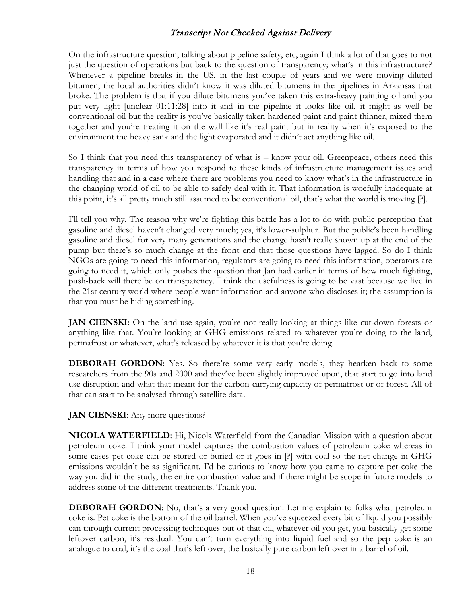On the infrastructure question, talking about pipeline safety, etc, again I think a lot of that goes to not just the question of operations but back to the question of transparency; what's in this infrastructure? Whenever a pipeline breaks in the US, in the last couple of years and we were moving diluted bitumen, the local authorities didn't know it was diluted bitumens in the pipelines in Arkansas that broke. The problem is that if you dilute bitumens you've taken this extra-heavy painting oil and you put very light [unclear 01:11:28] into it and in the pipeline it looks like oil, it might as well be conventional oil but the reality is you've basically taken hardened paint and paint thinner, mixed them together and you're treating it on the wall like it's real paint but in reality when it's exposed to the environment the heavy sank and the light evaporated and it didn't act anything like oil.

So I think that you need this transparency of what is – know your oil. Greenpeace, others need this transparency in terms of how you respond to these kinds of infrastructure management issues and handling that and in a case where there are problems you need to know what's in the infrastructure in the changing world of oil to be able to safely deal with it. That information is woefully inadequate at this point, it's all pretty much still assumed to be conventional oil, that's what the world is moving [?].

I'll tell you why. The reason why we're fighting this battle has a lot to do with public perception that gasoline and diesel haven't changed very much; yes, it's lower-sulphur. But the public's been handling gasoline and diesel for very many generations and the change hasn't really shown up at the end of the pump but there's so much change at the front end that those questions have lagged. So do I think NGOs are going to need this information, regulators are going to need this information, operators are going to need it, which only pushes the question that Jan had earlier in terms of how much fighting, push-back will there be on transparency. I think the usefulness is going to be vast because we live in the 21st century world where people want information and anyone who discloses it; the assumption is that you must be hiding something.

**JAN CIENSKI:** On the land use again, you're not really looking at things like cut-down forests or anything like that. You're looking at GHG emissions related to whatever you're doing to the land, permafrost or whatever, what's released by whatever it is that you're doing.

**DEBORAH GORDON:** Yes. So there're some very early models, they hearken back to some researchers from the 90s and 2000 and they've been slightly improved upon, that start to go into land use disruption and what that meant for the carbon-carrying capacity of permafrost or of forest. All of that can start to be analysed through satellite data.

**JAN CIENSKI**: Any more questions?

**NICOLA WATERFIELD**: Hi, Nicola Waterfield from the Canadian Mission with a question about petroleum coke. I think your model captures the combustion values of petroleum coke whereas in some cases pet coke can be stored or buried or it goes in [?] with coal so the net change in GHG emissions wouldn't be as significant. I'd be curious to know how you came to capture pet coke the way you did in the study, the entire combustion value and if there might be scope in future models to address some of the different treatments. Thank you.

**DEBORAH GORDON**: No, that's a very good question. Let me explain to folks what petroleum coke is. Pet coke is the bottom of the oil barrel. When you've squeezed every bit of liquid you possibly can through current processing techniques out of that oil, whatever oil you get, you basically get some leftover carbon, it's residual. You can't turn everything into liquid fuel and so the pep coke is an analogue to coal, it's the coal that's left over, the basically pure carbon left over in a barrel of oil.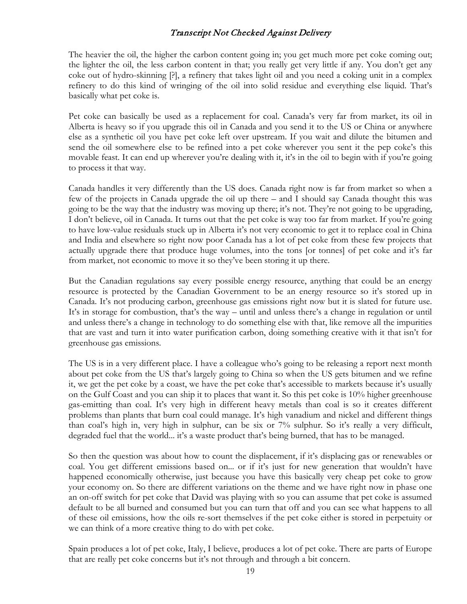The heavier the oil, the higher the carbon content going in; you get much more pet coke coming out; the lighter the oil, the less carbon content in that; you really get very little if any. You don't get any coke out of hydro-skinning [?], a refinery that takes light oil and you need a coking unit in a complex refinery to do this kind of wringing of the oil into solid residue and everything else liquid. That's basically what pet coke is.

Pet coke can basically be used as a replacement for coal. Canada's very far from market, its oil in Alberta is heavy so if you upgrade this oil in Canada and you send it to the US or China or anywhere else as a synthetic oil you have pet coke left over upstream. If you wait and dilute the bitumen and send the oil somewhere else to be refined into a pet coke wherever you sent it the pep coke's this movable feast. It can end up wherever you're dealing with it, it's in the oil to begin with if you're going to process it that way.

Canada handles it very differently than the US does. Canada right now is far from market so when a few of the projects in Canada upgrade the oil up there – and I should say Canada thought this was going to be the way that the industry was moving up there; it's not. They're not going to be upgrading, I don't believe, oil in Canada. It turns out that the pet coke is way too far from market. If you're going to have low-value residuals stuck up in Alberta it's not very economic to get it to replace coal in China and India and elsewhere so right now poor Canada has a lot of pet coke from these few projects that actually upgrade there that produce huge volumes, into the tons [or tonnes] of pet coke and it's far from market, not economic to move it so they've been storing it up there.

But the Canadian regulations say every possible energy resource, anything that could be an energy resource is protected by the Canadian Government to be an energy resource so it's stored up in Canada. It's not producing carbon, greenhouse gas emissions right now but it is slated for future use. It's in storage for combustion, that's the way – until and unless there's a change in regulation or until and unless there's a change in technology to do something else with that, like remove all the impurities that are vast and turn it into water purification carbon, doing something creative with it that isn't for greenhouse gas emissions.

The US is in a very different place. I have a colleague who's going to be releasing a report next month about pet coke from the US that's largely going to China so when the US gets bitumen and we refine it, we get the pet coke by a coast, we have the pet coke that's accessible to markets because it's usually on the Gulf Coast and you can ship it to places that want it. So this pet coke is 10% higher greenhouse gas-emitting than coal. It's very high in different heavy metals than coal is so it creates different problems than plants that burn coal could manage. It's high vanadium and nickel and different things than coal's high in, very high in sulphur, can be six or 7% sulphur. So it's really a very difficult, degraded fuel that the world... it's a waste product that's being burned, that has to be managed.

So then the question was about how to count the displacement, if it's displacing gas or renewables or coal. You get different emissions based on... or if it's just for new generation that wouldn't have happened economically otherwise, just because you have this basically very cheap pet coke to grow your economy on. So there are different variations on the theme and we have right now in phase one an on-off switch for pet coke that David was playing with so you can assume that pet coke is assumed default to be all burned and consumed but you can turn that off and you can see what happens to all of these oil emissions, how the oils re-sort themselves if the pet coke either is stored in perpetuity or we can think of a more creative thing to do with pet coke.

Spain produces a lot of pet coke, Italy, I believe, produces a lot of pet coke. There are parts of Europe that are really pet coke concerns but it's not through and through a bit concern.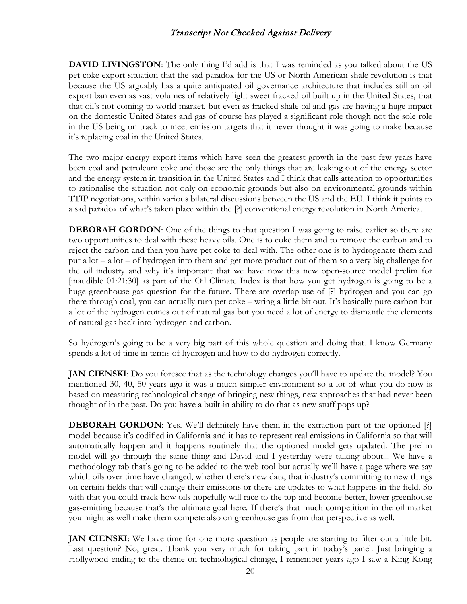**DAVID LIVINGSTON:** The only thing I'd add is that I was reminded as you talked about the US pet coke export situation that the sad paradox for the US or North American shale revolution is that because the US arguably has a quite antiquated oil governance architecture that includes still an oil export ban even as vast volumes of relatively light sweet fracked oil built up in the United States, that that oil's not coming to world market, but even as fracked shale oil and gas are having a huge impact on the domestic United States and gas of course has played a significant role though not the sole role in the US being on track to meet emission targets that it never thought it was going to make because it's replacing coal in the United States.

The two major energy export items which have seen the greatest growth in the past few years have been coal and petroleum coke and those are the only things that are leaking out of the energy sector and the energy system in transition in the United States and I think that calls attention to opportunities to rationalise the situation not only on economic grounds but also on environmental grounds within TTIP negotiations, within various bilateral discussions between the US and the EU. I think it points to a sad paradox of what's taken place within the [?] conventional energy revolution in North America.

**DEBORAH GORDON**: One of the things to that question I was going to raise earlier so there are two opportunities to deal with these heavy oils. One is to coke them and to remove the carbon and to reject the carbon and then you have pet coke to deal with. The other one is to hydrogenate them and put a lot – a lot – of hydrogen into them and get more product out of them so a very big challenge for the oil industry and why it's important that we have now this new open-source model prelim for [inaudible 01:21:30] as part of the Oil Climate Index is that how you get hydrogen is going to be a huge greenhouse gas question for the future. There are overlap use of [?] hydrogen and you can go there through coal, you can actually turn pet coke – wring a little bit out. It's basically pure carbon but a lot of the hydrogen comes out of natural gas but you need a lot of energy to dismantle the elements of natural gas back into hydrogen and carbon.

So hydrogen's going to be a very big part of this whole question and doing that. I know Germany spends a lot of time in terms of hydrogen and how to do hydrogen correctly.

**JAN CIENSKI:** Do you foresee that as the technology changes you'll have to update the model? You mentioned 30, 40, 50 years ago it was a much simpler environment so a lot of what you do now is based on measuring technological change of bringing new things, new approaches that had never been thought of in the past. Do you have a built-in ability to do that as new stuff pops up?

**DEBORAH GORDON:** Yes. We'll definitely have them in the extraction part of the optioned [?] model because it's codified in California and it has to represent real emissions in California so that will automatically happen and it happens routinely that the optioned model gets updated. The prelim model will go through the same thing and David and I yesterday were talking about... We have a methodology tab that's going to be added to the web tool but actually we'll have a page where we say which oils over time have changed, whether there's new data, that industry's committing to new things on certain fields that will change their emissions or there are updates to what happens in the field. So with that you could track how oils hopefully will race to the top and become better, lower greenhouse gas-emitting because that's the ultimate goal here. If there's that much competition in the oil market you might as well make them compete also on greenhouse gas from that perspective as well.

**JAN CIENSKI:** We have time for one more question as people are starting to filter out a little bit. Last question? No, great. Thank you very much for taking part in today's panel. Just bringing a Hollywood ending to the theme on technological change, I remember years ago I saw a King Kong